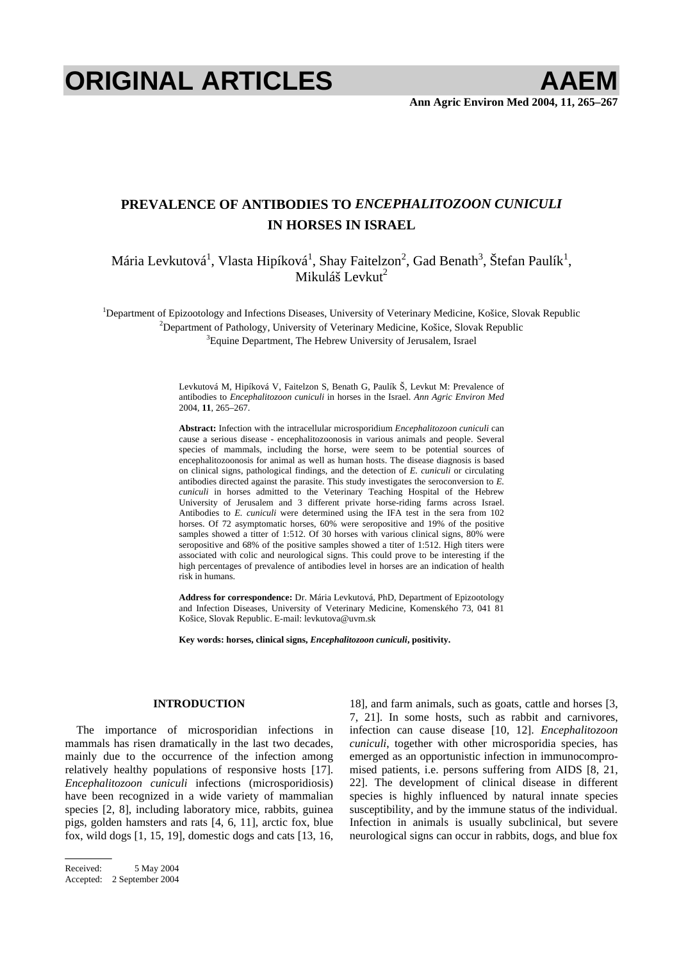# **ORIGINAL ARTICLES AAEM**

## **PREVALENCE OF ANTIBODIES TO** *ENCEPHALITOZOON CUNICULI* **IN HORSES IN ISRAEL**

Mária Levkutová<sup>1</sup>, Vlasta Hipíková<sup>1</sup>, Shay Faitelzon<sup>2</sup>, Gad Benath<sup>3</sup>, Štefan Paulík<sup>1</sup>, Mikuláš Levkut<sup>2</sup>

<sup>1</sup>Department of Epizootology and Infections Diseases, University of Veterinary Medicine, Košice, Slovak Republic <sup>2</sup>Department of Bethology, University of Veterinary Medicine, Košice, Slovak Republic <sup>2</sup>Department of Pathology, University of Veterinary Medicine, Košice, Slovak Republic <sup>3</sup> Equine Department, The Hebrew University of Jerusalem, Israel

> Levkutová M, Hipíková V, Faitelzon S, Benath G, Paulík Š, Levkut M: Prevalence of antibodies to *Encephalitozoon cuniculi* in horses in the Israel. *Ann Agric Environ Med* 2004, **11**, 265–267.

> **Abstract:** Infection with the intracellular microsporidium *Encephalitozoon cuniculi* can cause a serious disease - encephalitozoonosis in various animals and people. Several species of mammals, including the horse, were seem to be potential sources of encephalitozoonosis for animal as well as human hosts. The disease diagnosis is based on clinical signs, pathological findings, and the detection of *E. cuniculi* or circulating antibodies directed against the parasite. This study investigates the seroconversion to *E. cuniculi* in horses admitted to the Veterinary Teaching Hospital of the Hebrew University of Jerusalem and 3 different private horse-riding farms across Israel. Antibodies to *E. cuniculi* were determined using the IFA test in the sera from 102 horses. Of 72 asymptomatic horses, 60% were seropositive and 19% of the positive samples showed a titter of 1:512. Of 30 horses with various clinical signs, 80% were seropositive and 68% of the positive samples showed a titer of 1:512. High titers were associated with colic and neurological signs. This could prove to be interesting if the high percentages of prevalence of antibodies level in horses are an indication of health risk in humans.

> **Address for correspondence:** Dr. Mária Levkutová, PhD, Department of Epizootology and Infection Diseases, University of Veterinary Medicine, Komenského 73, 041 81 Košice, Slovak Republic. E-mail: levkutova@uvm.sk

**Key words: horses, clinical signs,** *Encephalitozoon cuniculi***, positivity.** 

#### **INTRODUCTION**

The importance of microsporidian infections in mammals has risen dramatically in the last two decades, mainly due to the occurrence of the infection among relatively healthy populations of responsive hosts [17]. *Encephalitozoon cuniculi* infections (microsporidiosis) have been recognized in a wide variety of mammalian species [2, 8], including laboratory mice, rabbits, guinea pigs, golden hamsters and rats [4, 6, 11], arctic fox, blue fox, wild dogs [1, 15, 19], domestic dogs and cats [13, 16,

18], and farm animals, such as goats, cattle and horses [3, 7, 21]. In some hosts, such as rabbit and carnivores, infection can cause disease [10, 12]. *Encephalitozoon cuniculi*, together with other microsporidia species, has emerged as an opportunistic infection in immunocompromised patients, i.e. persons suffering from AIDS [8, 21, 22]. The development of clinical disease in different species is highly influenced by natural innate species susceptibility, and by the immune status of the individual. Infection in animals is usually subclinical, but severe neurological signs can occur in rabbits, dogs, and blue fox

Received: 5 May 2004

Accepted: 2 September 2004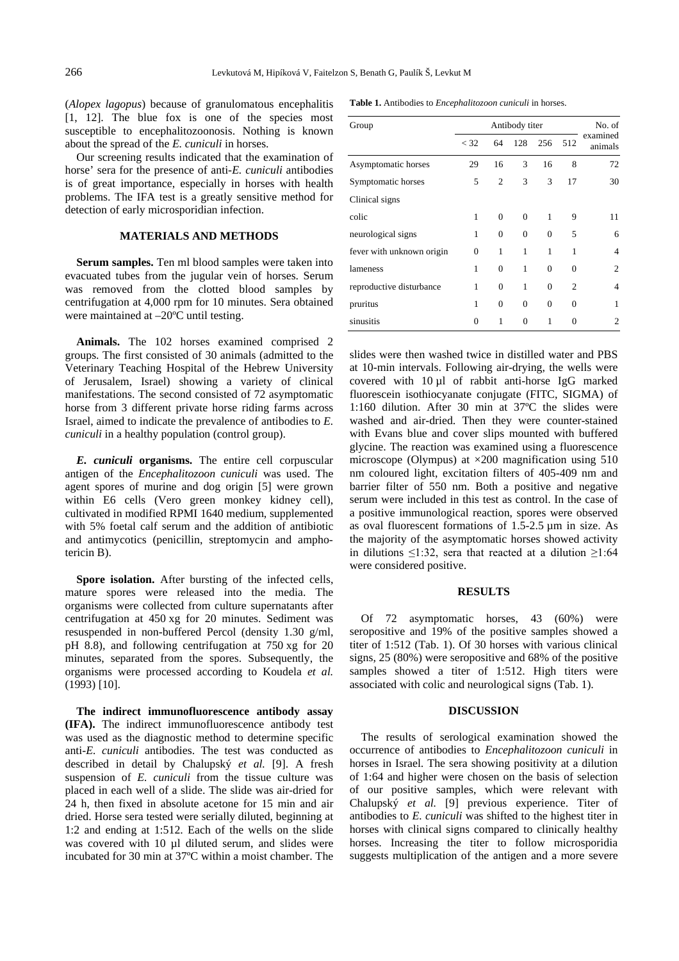(*Alopex lagopus*) because of granulomatous encephalitis [1, 12]. The blue fox is one of the species most susceptible to encephalitozoonosis. Nothing is known about the spread of the *E. cuniculi* in horses.

Our screening results indicated that the examination of horse' sera for the presence of anti-*E. cuniculi* antibodies is of great importance, especially in horses with health problems. The IFA test is a greatly sensitive method for detection of early microsporidian infection.

### **MATERIALS AND METHODS**

**Serum samples.** Ten ml blood samples were taken into evacuated tubes from the jugular vein of horses. Serum was removed from the clotted blood samples by centrifugation at 4,000 rpm for 10 minutes. Sera obtained were maintained at –20ºC until testing.

**Animals.** The 102 horses examined comprised 2 groups. The first consisted of 30 animals (admitted to the Veterinary Teaching Hospital of the Hebrew University of Jerusalem, Israel) showing a variety of clinical manifestations. The second consisted of 72 asymptomatic horse from 3 different private horse riding farms across Israel, aimed to indicate the prevalence of antibodies to *E. cuniculi* in a healthy population (control group).

*E. cuniculi* **organisms.** The entire cell corpuscular antigen of the *Encephalitozoon cuniculi* was used. The agent spores of murine and dog origin [5] were grown within E6 cells (Vero green monkey kidney cell), cultivated in modified RPMI 1640 medium, supplemented with 5% foetal calf serum and the addition of antibiotic and antimycotics (penicillin, streptomycin and amphotericin B).

**Spore isolation.** After bursting of the infected cells, mature spores were released into the media. The organisms were collected from culture supernatants after centrifugation at 450 xg for 20 minutes. Sediment was resuspended in non-buffered Percol (density 1.30 g/ml, pH 8.8), and following centrifugation at 750 xg for 20 minutes, separated from the spores. Subsequently, the organisms were processed according to Koudela *et al.* (1993) [10].

**The indirect immunofluorescence antibody assay (IFA).** The indirect immunofluorescence antibody test was used as the diagnostic method to determine specific anti-*E. cuniculi* antibodies. The test was conducted as described in detail by Chalupský *et al.* [9]. A fresh suspension of *E. cuniculi* from the tissue culture was placed in each well of a slide. The slide was air-dried for 24 h, then fixed in absolute acetone for 15 min and air dried. Horse sera tested were serially diluted, beginning at 1:2 and ending at 1:512. Each of the wells on the slide was covered with 10 µl diluted serum, and slides were incubated for 30 min at 37ºC within a moist chamber. The

**Table 1.** Antibodies to *Encephalitozoon cuniculi* in horses.

| Group                     | Antibody titer |          |              |          |                | No. of                   |
|---------------------------|----------------|----------|--------------|----------|----------------|--------------------------|
|                           | $<$ 32         | 64       | 128          | 256      | 512            | examined<br>animals      |
| Asymptomatic horses       | 29             | 16       | 3            | 16       | 8              | 72                       |
| Symptomatic horses        | 5              | 2        | 3            | 3        | 17             | 30                       |
| Clinical signs            |                |          |              |          |                |                          |
| colic                     | 1              | $\Omega$ | $\Omega$     | 1        | 9              | 11                       |
| neurological signs        | 1              | $\theta$ | $\mathbf{0}$ | $\Omega$ | 5              | 6                        |
| fever with unknown origin | $\Omega$       | 1        | 1            | 1        | 1              | $\overline{\mathcal{A}}$ |
| lameness                  | 1              | $\Omega$ | 1            | $\theta$ | 0              | $\overline{c}$           |
| reproductive disturbance  | 1              | $\theta$ | 1            | $\Omega$ | $\overline{c}$ | 4                        |
| pruritus                  | 1              | $\theta$ | $\theta$     | $\theta$ | $\theta$       | 1                        |
| sinusitis                 | 0              | 1        | $\theta$     | 1        | 0              | $\overline{c}$           |

slides were then washed twice in distilled water and PBS at 10-min intervals. Following air-drying, the wells were covered with 10 µl of rabbit anti-horse IgG marked fluorescein isothiocyanate conjugate (FITC, SIGMA) of 1:160 dilution. After 30 min at 37ºC the slides were washed and air-dried. Then they were counter-stained with Evans blue and cover slips mounted with buffered glycine. The reaction was examined using a fluorescence microscope (Olympus) at  $\times 200$  magnification using 510 nm coloured light, excitation filters of 405-409 nm and barrier filter of 550 nm. Both a positive and negative serum were included in this test as control. In the case of a positive immunological reaction, spores were observed as oval fluorescent formations of 1.5-2.5 µm in size. As the majority of the asymptomatic horses showed activity in dilutions  $\leq$ 1:32, sera that reacted at a dilution  $\geq$ 1:64 were considered positive.

#### **RESULTS**

Of 72 asymptomatic horses, 43 (60%) were seropositive and 19% of the positive samples showed a titer of 1:512 (Tab. 1). Of 30 horses with various clinical signs, 25 (80%) were seropositive and 68% of the positive samples showed a titer of 1:512. High titers were associated with colic and neurological signs (Tab. 1).

#### **DISCUSSION**

The results of serological examination showed the occurrence of antibodies to *Encephalitozoon cuniculi* in horses in Israel. The sera showing positivity at a dilution of 1:64 and higher were chosen on the basis of selection of our positive samples, which were relevant with Chalupský *et al.* [9] previous experience. Titer of antibodies to *E. cuniculi* was shifted to the highest titer in horses with clinical signs compared to clinically healthy horses. Increasing the titer to follow microsporidia suggests multiplication of the antigen and a more severe